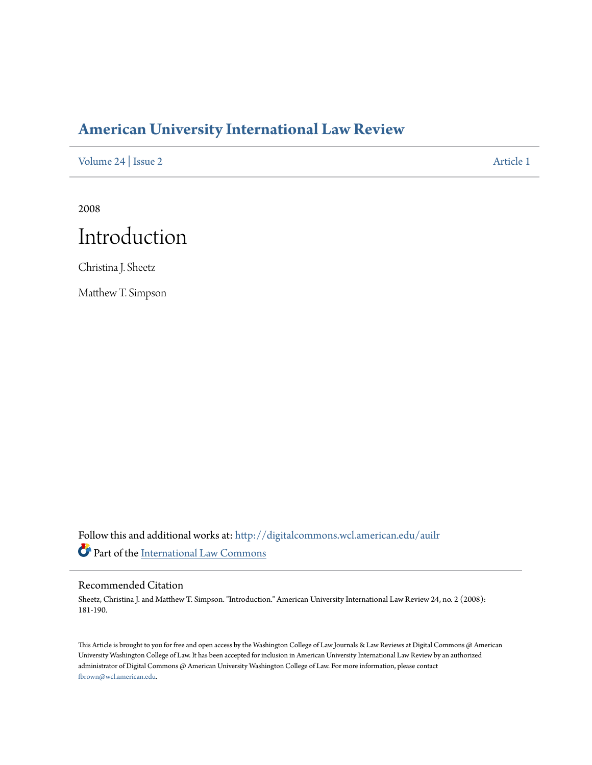# **[American University International Law Review](http://digitalcommons.wcl.american.edu/auilr?utm_source=digitalcommons.wcl.american.edu%2Fauilr%2Fvol24%2Fiss2%2F1&utm_medium=PDF&utm_campaign=PDFCoverPages)**

[Volume 24](http://digitalcommons.wcl.american.edu/auilr/vol24?utm_source=digitalcommons.wcl.american.edu%2Fauilr%2Fvol24%2Fiss2%2F1&utm_medium=PDF&utm_campaign=PDFCoverPages) | [Issue 2](http://digitalcommons.wcl.american.edu/auilr/vol24/iss2?utm_source=digitalcommons.wcl.american.edu%2Fauilr%2Fvol24%2Fiss2%2F1&utm_medium=PDF&utm_campaign=PDFCoverPages) [Article 1](http://digitalcommons.wcl.american.edu/auilr/vol24/iss2/1?utm_source=digitalcommons.wcl.american.edu%2Fauilr%2Fvol24%2Fiss2%2F1&utm_medium=PDF&utm_campaign=PDFCoverPages)

2008



Christina J. Sheetz

Matthew T. Simpson

Follow this and additional works at: [http://digitalcommons.wcl.american.edu/auilr](http://digitalcommons.wcl.american.edu/auilr?utm_source=digitalcommons.wcl.american.edu%2Fauilr%2Fvol24%2Fiss2%2F1&utm_medium=PDF&utm_campaign=PDFCoverPages) Part of the [International Law Commons](http://network.bepress.com/hgg/discipline/609?utm_source=digitalcommons.wcl.american.edu%2Fauilr%2Fvol24%2Fiss2%2F1&utm_medium=PDF&utm_campaign=PDFCoverPages)

#### Recommended Citation

Sheetz, Christina J. and Matthew T. Simpson. "Introduction." American University International Law Review 24, no. 2 (2008): 181-190.

This Article is brought to you for free and open access by the Washington College of Law Journals & Law Reviews at Digital Commons @ American University Washington College of Law. It has been accepted for inclusion in American University International Law Review by an authorized administrator of Digital Commons @ American University Washington College of Law. For more information, please contact [fbrown@wcl.american.edu](mailto:fbrown@wcl.american.edu).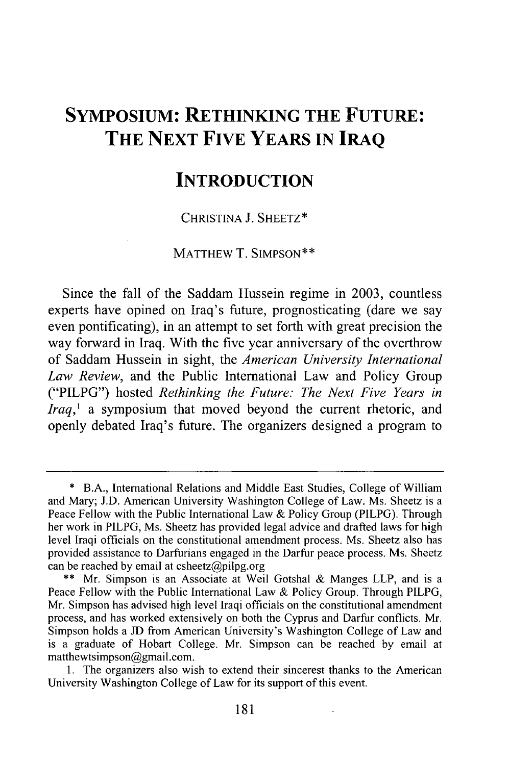## **SYMPOSIUM: RETHINKING THE FUTURE: THE NEXT FIVE YEARS IN IRAQ**

## **INTRODUCTION**

**CHRISTINA J.** SHEETZ\*

MATTHEW T. **SIMPSON\*\***

Since the fall of the Saddam Hussein regime in **2003,** countless experts have opined on Iraq's future, prognosticating (dare we say even pontificating), in an attempt to set forth with great precision the way forward in Iraq. With the five year anniversary of the overthrow of Saddam Hussein in sight, the *American University International Law Review,* and the Public International Law and Policy Group ("PILPG") hosted *Rethinking the Future: The Next Five Years in Iraq,'* a symposium that moved beyond the current rhetoric, and openly debated Iraq's future. The organizers designed a program to

**<sup>\*</sup>** B.A., International Relations and Middle East Studies, College of William and Mary; J.D. American University Washington College of Law. Ms. Sheetz is a Peace Fellow with the Public International Law **&** Policy Group (PILPG). Through her work in PILPG, Ms. Sheetz has provided legal advice and drafted laws for high level Iraqi officials on the constitutional amendment process. Ms. Sheetz also has provided assistance to Darfurians engaged in the Darfur peace process. Ms. Sheetz can be reached **by** email at csheetz@pilpg.org

**<sup>\*\*</sup>** Mr. Simpson is an Associate at Weil Gotshal **&** Manges LLP, and is a Peace Fellow with the Public International Law **&** Policy Group. Through PILPG, Mr. Simpson has advised high level Iraqi officials on the constitutional amendment process, and has worked extensively on both the Cyprus and Darfur conflicts. Mr. Simpson holds a **JD** from American University's Washington College of Law and is a graduate of Hobart College. Mr. Simpson can be reached **by** email at matthewtsimpson@gmail.com.

**<sup>1.</sup>** The organizers also wish to extend their sincerest thanks to the American University Washington College of Law for its support of this event.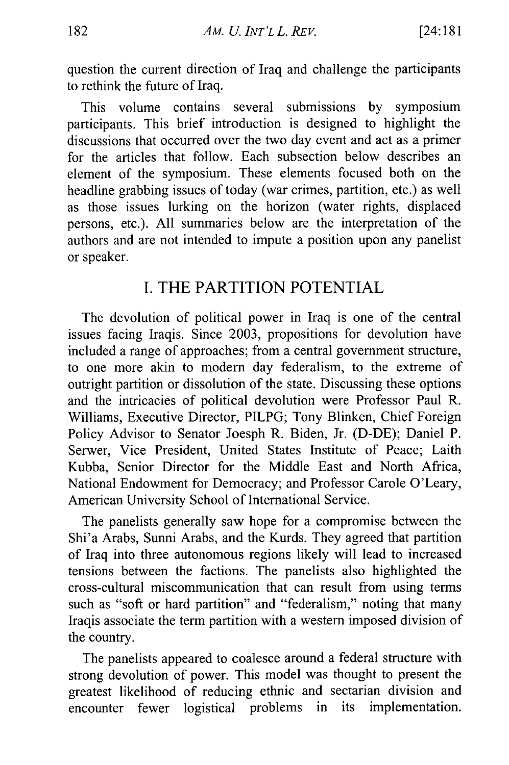question the current direction of Iraq and challenge the participants to rethink the future of Iraq.

This volume contains several submissions by symposium participants. This brief introduction is designed to highlight the discussions that occurred over the two day event and act as a primer for the articles that follow. Each subsection below describes an element of the symposium. These elements focused both on the headline grabbing issues of today (war crimes, partition, etc.) as well as those issues lurking on the horizon (water rights, displaced persons, etc.). All summaries below are the interpretation of the authors and are not intended to impute a position upon any panelist or speaker.

## I. THE PARTITION POTENTIAL

The devolution of political power in Iraq is one of the central issues facing Iraqis. Since 2003, propositions for devolution have included a range of approaches; from a central government structure, to one more akin to modern day federalism, to the extreme of outright partition or dissolution of the state. Discussing these options and the intricacies of political devolution were Professor Paul R. Williams, Executive Director, PILPG; Tony Blinken, Chief Foreign Policy Advisor to Senator Joesph R. Biden, Jr. (D-DE); Daniel P. Serwer, Vice President, United States Institute of Peace; Laith Kubba, Senior Director for the Middle East and North Africa, National Endowment for Democracy; and Professor Carole O'Leary, American University School of International Service.

The panelists generally saw hope for a compromise between the Shi'a Arabs, Sunni Arabs, and the Kurds. They agreed that partition of Iraq into three autonomous regions likely will lead to increased tensions between the factions. The panelists also highlighted the cross-cultural miscommunication that can result from using terms such as "soft or hard partition" and "federalism," noting that many Iraqis associate the term partition with a western imposed division of the country.

The panelists appeared to coalesce around a federal structure with strong devolution of power. This model was thought to present the greatest likelihood of reducing ethnic and sectarian division and encounter fewer logistical problems in its implementation.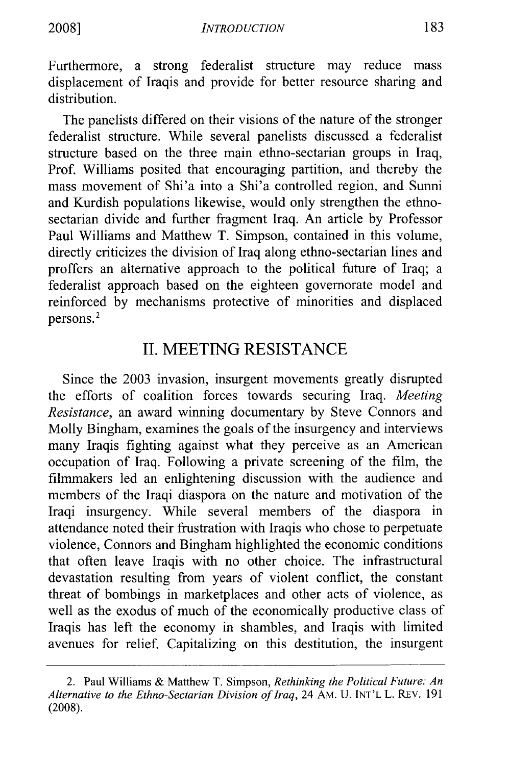Furthermore, a strong federalist structure may reduce mass displacement of Iraqis and provide for better resource sharing and distribution.

The panelists differed on their visions of the nature of the stronger federalist structure. While several panelists discussed a federalist structure based on the three main ethno-sectarian groups in Iraq, Prof. Williams posited that encouraging partition, and thereby the mass movement of Shi'a into a Shi'a controlled region, and Sunni and Kurdish populations likewise, would only strengthen the ethnosectarian divide and further fragment Iraq. An article by Professor Paul Williams and Matthew T. Simpson, contained in this volume, directly criticizes the division of Iraq along ethno-sectarian lines and proffers an alternative approach to the political future of Iraq; a federalist approach based on the eighteen govemorate model and reinforced by mechanisms protective of minorities and displaced persons.<sup>2</sup>

### II. MEETING RESISTANCE

Since the 2003 invasion, insurgent movements greatly disrupted the efforts of coalition forces towards securing Iraq. *Meeting Resistance,* an award winning documentary by Steve Connors and Molly Bingham, examines the goals of the insurgency and interviews many Iraqis fighting against what they perceive as an American occupation of Iraq. Following a private screening of the film, the filmmakers led an enlightening discussion with the audience and members of the Iraqi diaspora on the nature and motivation of the Iraqi insurgency. While several members of the diaspora in attendance noted their frustration with Iraqis who chose to perpetuate violence, Connors and Bingham highlighted the economic conditions that often leave Iraqis with no other choice. The infrastructural devastation resulting from years of violent conflict, the constant threat of bombings in marketplaces and other acts of violence, as well as the exodus of much of the economically productive class of Iraqis has left the economy in shambles, and Iraqis with limited avenues for relief. Capitalizing on this destitution, the insurgent

<sup>2.</sup> Paul Williams & Matthew T. Simpson, *Rethinking the Political Future: An Alternative to the Ethno-Sectarian Division of Iraq,* 24 AM. U. **INT'L** L. REV. 191 (2008).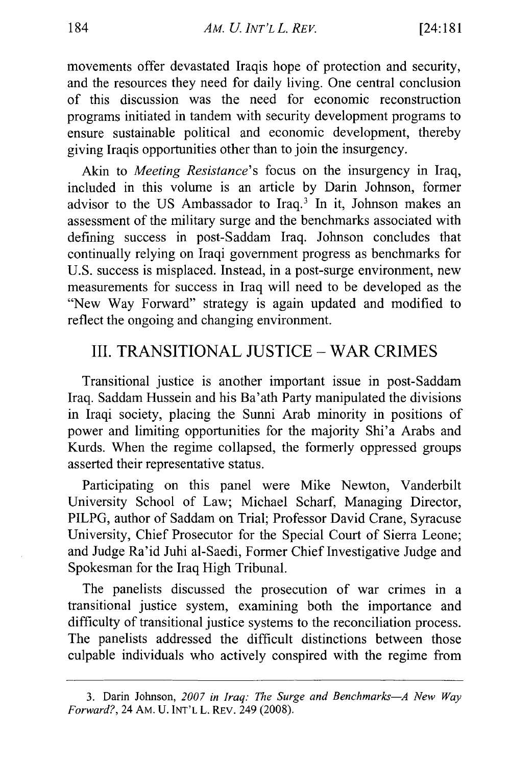movements offer devastated Iraqis hope of protection and security, and the resources they need for daily living. One central conclusion of this discussion was the need for economic reconstruction programs initiated in tandem with security development programs to ensure sustainable political and economic development, thereby giving Iraqis opportunities other than to join the insurgency.

Akin to *Meeting Resistance's* focus on the insurgency in Iraq, included in this volume is an article by Darin Johnson, former advisor to the US Ambassador to Iraq.3 In it, Johnson makes an assessment of the military surge and the benchmarks associated with defining success in post-Saddam Iraq. Johnson concludes that continually relying on Iraqi government progress as benchmarks for U.S. success is misplaced. Instead, in a post-surge environment, new measurements for success in Iraq will need to be developed as the "New Way Forward" strategy is again updated and modified to reflect the ongoing and changing environment.

#### III. TRANSITIONAL JUSTICE - WAR CRIMES

Transitional justice is another important issue in post-Saddam Iraq. Saddam Hussein and his Ba'ath Party manipulated the divisions in Iraqi society, placing the Sunni Arab minority in positions of power and limiting opportunities for the majority Shi'a Arabs and Kurds. When the regime collapsed, the formerly oppressed groups asserted their representative status.

Participating on this panel were Mike Newton, Vanderbilt University School of Law; Michael Scharf, Managing Director, PILPG, author of Saddam on Trial; Professor David Crane, Syracuse University, Chief Prosecutor for the Special Court of Sierra Leone; and Judge Ra'id Juhi al-Saedi, Former Chief Investigative Judge and Spokesman for the Iraq High Tribunal.

The panelists discussed the prosecution of war crimes in a transitional justice system, examining both the importance and difficulty of transitional justice systems to the reconciliation process. The panelists addressed the difficult distinctions between those culpable individuals who actively conspired with the regime from

<sup>3.</sup> Darin Johnson, *2007 in Iraq: The Surge and Benchmarks-A New Way Forward?,* 24 AM. U. INT'L L. REv. 249 (2008).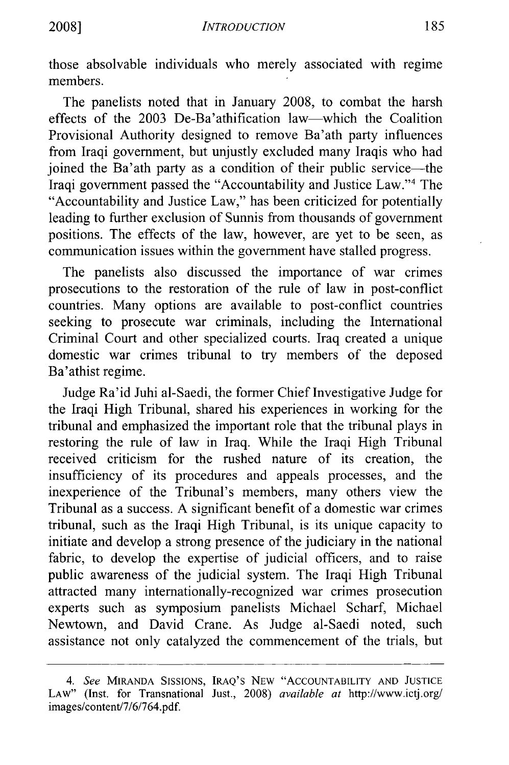those absolvable individuals who merely associated with regime members.

The panelists noted that in January 2008, to combat the harsh effects of the 2003 De-Ba'athification law-which the Coalition Provisional Authority designed to remove Ba'ath party influences from Iraqi government, but unjustly excluded many Iraqis who had joined the Ba'ath party as a condition of their public service—the Iraqi government passed the "Accountability and Justice Law."4 The "Accountability and Justice Law," has been criticized for potentially leading to further exclusion of Sunnis from thousands of government positions. The effects of the law, however, are yet to be seen, as communication issues within the government have stalled progress.

The panelists also discussed the importance of war crimes prosecutions to the restoration of the rule of law in post-conflict countries. Many options are available to post-conflict countries seeking to prosecute war criminals, including the International Criminal Court and other specialized courts. Iraq created a unique domestic war crimes tribunal to try members of the deposed Ba'athist regime.

Judge Ra'id Juhi al-Saedi, the former Chief Investigative Judge for the Iraqi High Tribunal, shared his experiences in working for the tribunal and emphasized the important role that the tribunal plays in restoring the rule of law in Iraq. While the Iraqi High Tribunal received criticism for the rushed nature of its creation, the insufficiency of its procedures and appeals processes, and the inexperience of the Tribunal's members, many others view the Tribunal as a success. A significant benefit of a domestic war crimes tribunal, such as the Iraqi High Tribunal, is its unique capacity to initiate and develop a strong presence of the judiciary in the national fabric, to develop the expertise of judicial officers, and to raise public awareness of the judicial system. The Iraqi High Tribunal attracted many internationally-recognized war crimes prosecution experts such as symposium panelists Michael Scharf, Michael Newtown, and David Crane. As Judge al-Saedi noted, such assistance not only catalyzed the commencement of the trials, but

*<sup>4.</sup> See* MIRANDA SISSIONS, IRAQ'S NEW "ACCOUNTABILITY AND JUSTICE LAW" (Inst. for Transnational Just., 2008) *available at* http://www.ictj.org/ images/content/7/6/764.pdf.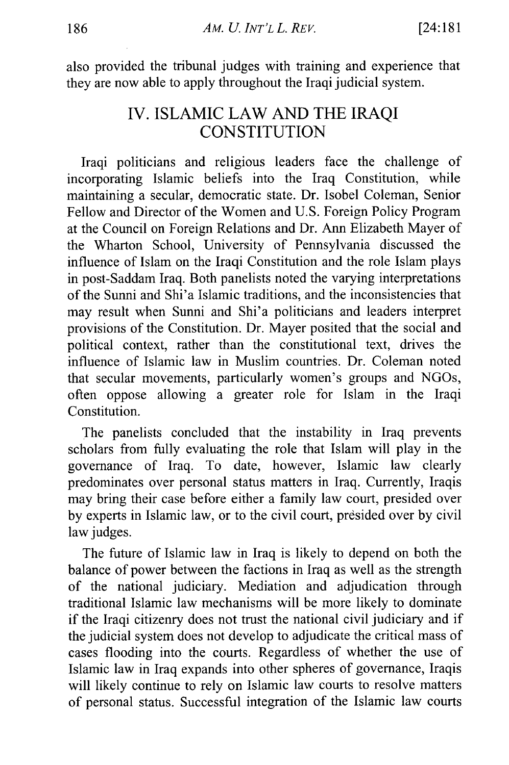also provided the tribunal judges with training and experience that they are now able to apply throughout the Iraqi judicial system.

## IV. ISLAMIC LAW AND THE IRAQI **CONSTITUTION**

Iraqi politicians and religious leaders face the challenge of incorporating Islamic beliefs into the Iraq Constitution, while maintaining a secular, democratic state. Dr. Isobel Coleman, Senior Fellow and Director of the Women and U.S. Foreign Policy Program at the Council on Foreign Relations and Dr. Ann Elizabeth Mayer of the Wharton School, University of Pennsylvania discussed the influence of Islam on the Iraqi Constitution and the role Islam plays in post-Saddam Iraq. Both panelists noted the varying interpretations of the Sunni and Shi'a Islamic traditions, and the inconsistencies that may result when Sunni and Shi'a politicians and leaders interpret provisions of the Constitution. Dr. Mayer posited that the social and political context, rather than the constitutional text, drives the influence of Islamic law in Muslim countries. Dr. Coleman noted that secular movements, particularly women's groups and NGOs, often oppose allowing a greater role for Islam in the Iraqi Constitution.

The panelists concluded that the instability in Iraq prevents scholars from fully evaluating the role that Islam will play in the governance of Iraq. To date, however, Islamic law clearly predominates over personal status matters in Iraq. Currently, Iraqis may bring their case before either a family law court, presided over by experts in Islamic law, or to the civil court, presided over by civil law judges.

The future of Islamic law in Iraq is likely to depend on both the balance of power between the factions in Iraq as well as the strength of the national judiciary. Mediation and adjudication through traditional Islamic law mechanisms will be more likely to dominate if the Iraqi citizenry does not trust the national civil judiciary and if the judicial system does not develop to adjudicate the critical mass of cases flooding into the courts. Regardless of whether the use of Islamic law in Iraq expands into other spheres of governance, Iraqis will likely continue to rely on Islamic law courts to resolve matters of personal status. Successful integration of the Islamic law courts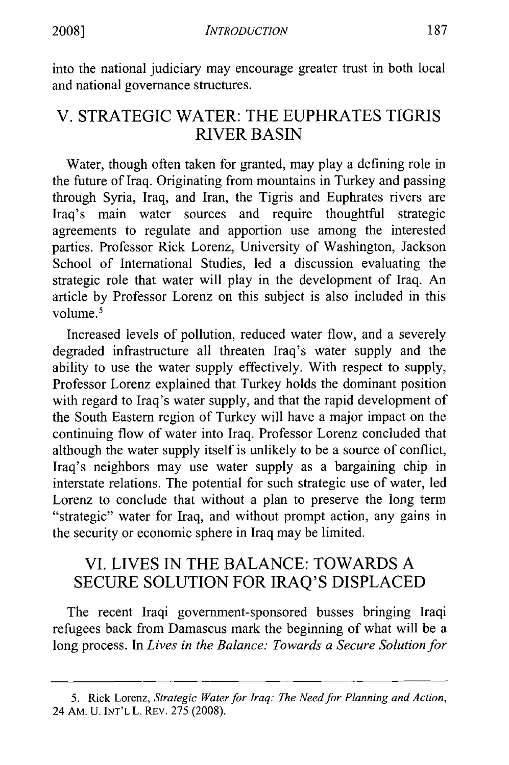into the national judiciary may encourage greater trust in both local and national governance structures.

## V. STRATEGIC WATER: THE EUPHRATES TIGRIS RIVER BASIN

Water, though often taken for granted, may play a defining role in the future of Iraq. Originating from mountains in Turkey and passing through Syria, Iraq, and Iran, the Tigris and Euphrates rivers are Iraq's main water sources and require thoughtful strategic agreements to regulate and apportion use among the interested parties. Professor Rick Lorenz, University of Washington, Jackson School of International Studies, led a discussion evaluating the strategic role that water will play in the development of Iraq. An article by Professor Lorenz on this subject is also included in this volume.<sup>5</sup>

Increased levels of pollution, reduced water flow, and a severely degraded infrastructure all threaten Iraq's water supply and the ability to use the water supply effectively. With respect to supply, Professor Lorenz explained that Turkey holds the dominant position with regard to Iraq's water supply, and that the rapid development of the South Eastern region of Turkey will have a major impact on the continuing flow of water into Iraq. Professor Lorenz concluded that although the water supply itself is unlikely to be a source of conflict, Iraq's neighbors may use water supply as a bargaining chip in interstate relations. The potential for such strategic use of water, led Lorenz to conclude that without a plan to preserve the long term "strategic" water for Iraq, and without prompt action, any gains in the security or economic sphere in Iraq may be limited.

## VI. LIVES IN THE BALANCE: TOWARDS A SECURE SOLUTION FOR IRAQ'S DISPLACED

The recent Iraqi government-sponsored busses bringing Iraqi refugees back from Damascus mark the beginning of what will be a long process. In *Lives in the Balance: Towards a Secure Solution for*

<sup>5.</sup> Rick Lorenz, *Strategic Water for Iraq: The Need for Planning and Action,* 24 AM. U. INT'L L. REV. 275 (2008).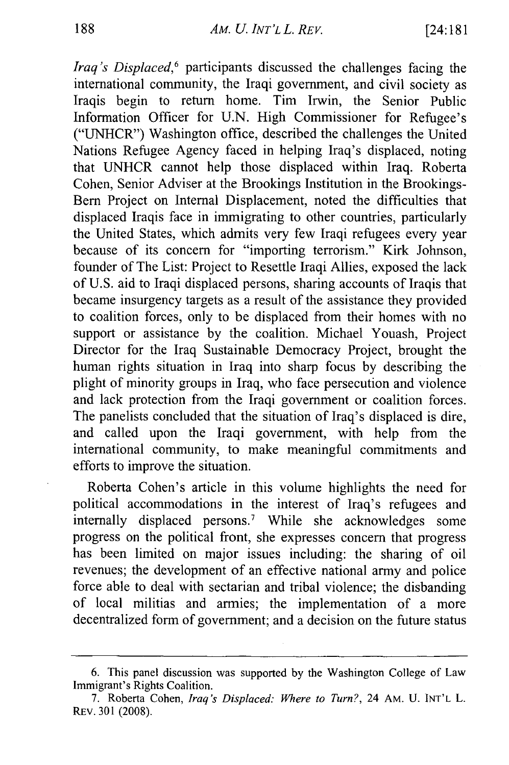*Iraq's Displaced*,<sup>6</sup> participants discussed the challenges facing the international community, the Iraqi government, and civil society as Iraqis begin to return home. Tim Irwin, the Senior Public Information Officer for U.N. High Commissioner for Refugee's ("UNHCR") Washington office, described the challenges the United Nations Refugee Agency faced in helping Iraq's displaced, noting that UNHCR cannot help those displaced within Iraq. Roberta Cohen, Senior Adviser at the Brookings Institution in the Brookings-Bern Project on Internal Displacement, noted the difficulties that displaced Iraqis face in immigrating to other countries, particularly the United States, which admits very few Iraqi refugees every year because of its concern for "importing terrorism." Kirk Johnson, founder of The List: Project to Resettle Iraqi Allies, exposed the lack of U.S. aid to Iraqi displaced persons, sharing accounts of Iraqis that became insurgency targets as a result of the assistance they provided to coalition forces, only to be displaced from their homes with no support or assistance by the coalition. Michael Youash, Project Director for the Iraq Sustainable Democracy Project, brought the human rights situation in Iraq into sharp focus by describing the plight of minority groups in Iraq, who face persecution and violence and lack protection from the Iraqi government or coalition forces. The panelists concluded that the situation of Iraq's displaced is dire, and called upon the Iraqi government, with help from the international community, to make meaningful commitments and efforts to improve the situation.

Roberta Cohen's article in this volume highlights the need for political accommodations in the interest of Iraq's refugees and internally displaced persons.<sup>7</sup> While she acknowledges some progress on the political front, she expresses concern that progress has been limited on major issues including: the sharing of oil revenues; the development of an effective national army and police force able to deal with sectarian and tribal violence; the disbanding of local militias and armies; the implementation of a more decentralized form of government; and a decision on the future status

<sup>6.</sup> This panel discussion was supported by the Washington College of Law Immigrant's Rights Coalition.

<sup>7.</sup> Roberta Cohen, *Iraq's Displaced: Where to Turn?,* 24 AM. U. INT'L L. REv. 301 (2008).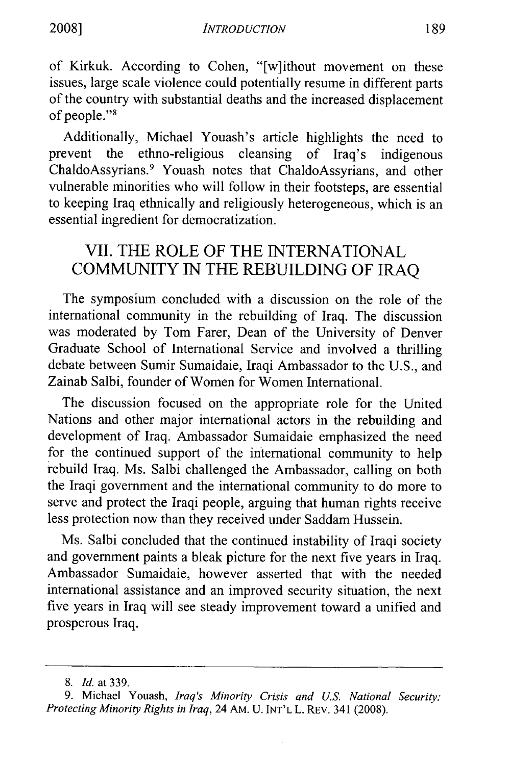of Kirkuk. According to Cohen, "[w]ithout movement on these issues, large scale violence could potentially resume in different parts of the country with substantial deaths and the increased displacement of people."<sup>8</sup>

Additionally, Michael Youash's article highlights the need to prevent the ethno-religious cleansing of Iraq's indigenous ChaldoAssyrians. 9 Youash notes that ChaldoAssyrians, and other vulnerable minorities who will follow in their footsteps, are essential to keeping Iraq ethnically and religiously heterogeneous, which is an essential ingredient for democratization.

## VII. THE ROLE OF THE INTERNATIONAL COMMUNITY IN THE REBUILDING OF IRAQ

The symposium concluded with a discussion on the role of the international community in the rebuilding of Iraq. The discussion was moderated by Tom Farer, Dean of the University of Denver Graduate School of International Service and involved a thrilling debate between Sumir Sumaidaie, Iraqi Ambassador to the U.S., and Zainab Salbi, founder of Women for Women International.

The discussion focused on the appropriate role for the United Nations and other major international actors in the rebuilding and development of Iraq. Ambassador Sumaidaie emphasized the need for the continued support of the international community to help rebuild Iraq. Ms. Salbi challenged the Ambassador, calling on both the Iraqi government and the international community to do more to serve and protect the Iraqi people, arguing that human rights receive less protection now than they received under Saddam Hussein.

Ms. Salbi concluded that the continued instability of Iraqi society and government paints a bleak picture for the next five years in Iraq. Ambassador Sumaidaie, however asserted that with the needed international assistance and an improved security situation, the next five years in Iraq will see steady improvement toward a unified and prosperous Iraq.

*<sup>8.</sup> Id.* at 339.

<sup>9.</sup> Michael Youash, *Iraq's Minority Crisis and U.S. National Security: Protecting Minority Rights in Iraq,* 24 AM. U. **INT'L** L. REv. 341 (2008).